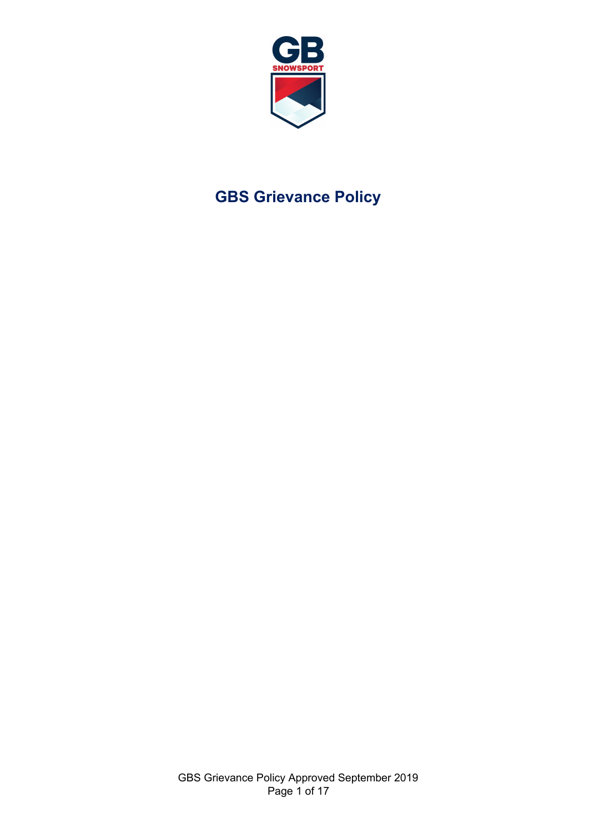

# **GBS Grievance Policy**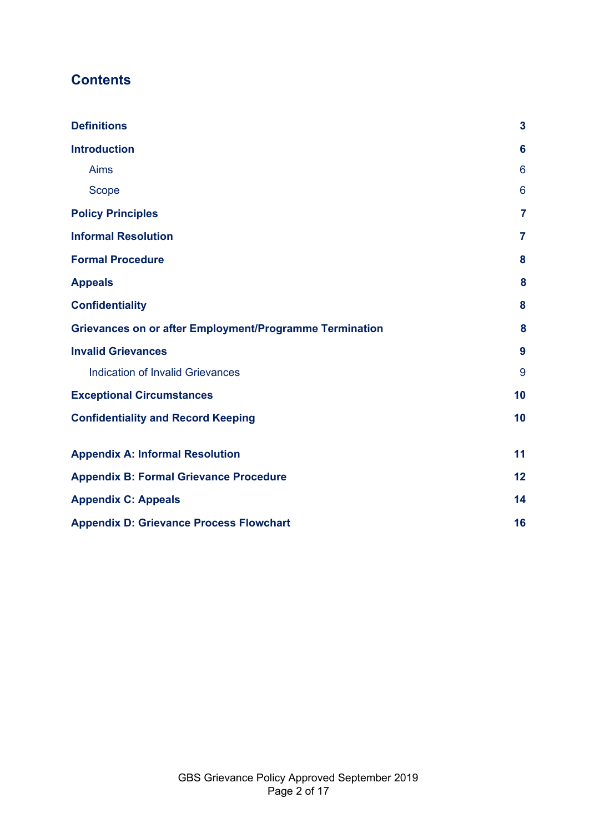# **Contents**

| <b>Definitions</b>                                             | 3  |
|----------------------------------------------------------------|----|
| <b>Introduction</b>                                            | 6  |
| <b>Aims</b>                                                    | 6  |
| Scope                                                          | 6  |
| <b>Policy Principles</b>                                       | 7  |
| <b>Informal Resolution</b>                                     | 7  |
| <b>Formal Procedure</b>                                        | 8  |
| <b>Appeals</b>                                                 | 8  |
| <b>Confidentiality</b>                                         | 8  |
| <b>Grievances on or after Employment/Programme Termination</b> | 8  |
| <b>Invalid Grievances</b>                                      | 9  |
| <b>Indication of Invalid Grievances</b>                        | 9  |
| <b>Exceptional Circumstances</b>                               | 10 |
| <b>Confidentiality and Record Keeping</b>                      | 10 |
| <b>Appendix A: Informal Resolution</b>                         | 11 |
| <b>Appendix B: Formal Grievance Procedure</b>                  | 12 |
| <b>Appendix C: Appeals</b>                                     | 14 |
| <b>Appendix D: Grievance Process Flowchart</b>                 | 16 |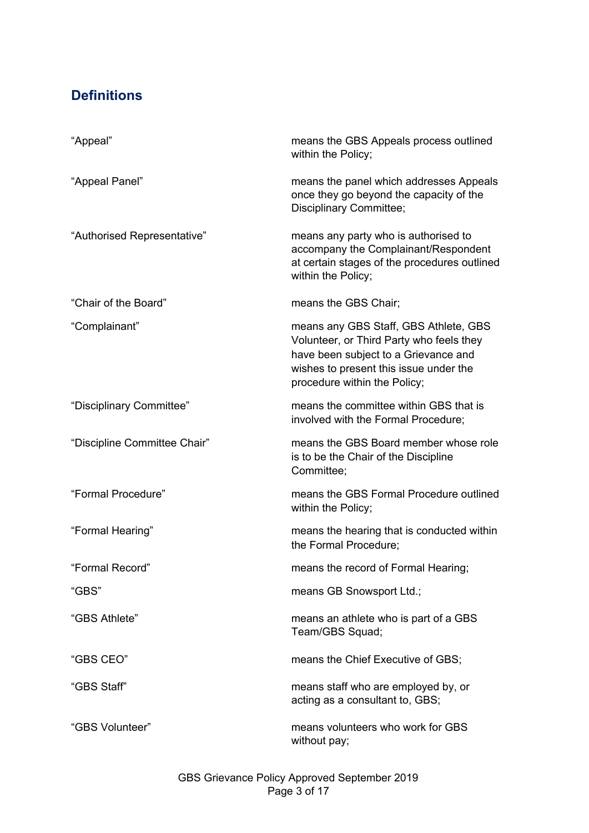# <span id="page-2-0"></span>**Definitions**

| "Appeal"                     | means the GBS Appeals process outlined<br>within the Policy;                                                                                                                                        |
|------------------------------|-----------------------------------------------------------------------------------------------------------------------------------------------------------------------------------------------------|
| "Appeal Panel"               | means the panel which addresses Appeals<br>once they go beyond the capacity of the<br>Disciplinary Committee;                                                                                       |
| "Authorised Representative"  | means any party who is authorised to<br>accompany the Complainant/Respondent<br>at certain stages of the procedures outlined<br>within the Policy;                                                  |
| "Chair of the Board"         | means the GBS Chair;                                                                                                                                                                                |
| "Complainant"                | means any GBS Staff, GBS Athlete, GBS<br>Volunteer, or Third Party who feels they<br>have been subject to a Grievance and<br>wishes to present this issue under the<br>procedure within the Policy; |
| "Disciplinary Committee"     | means the committee within GBS that is<br>involved with the Formal Procedure;                                                                                                                       |
| "Discipline Committee Chair" | means the GBS Board member whose role<br>is to be the Chair of the Discipline<br>Committee;                                                                                                         |
| "Formal Procedure"           | means the GBS Formal Procedure outlined<br>within the Policy;                                                                                                                                       |
| "Formal Hearing"             | means the hearing that is conducted within<br>the Formal Procedure;                                                                                                                                 |
| "Formal Record"              | means the record of Formal Hearing;                                                                                                                                                                 |
| "GBS"                        | means GB Snowsport Ltd.;                                                                                                                                                                            |
| "GBS Athlete"                | means an athlete who is part of a GBS<br>Team/GBS Squad;                                                                                                                                            |
| "GBS CEO"                    | means the Chief Executive of GBS;                                                                                                                                                                   |
| "GBS Staff"                  | means staff who are employed by, or<br>acting as a consultant to, GBS;                                                                                                                              |
| "GBS Volunteer"              | means volunteers who work for GBS<br>without pay;                                                                                                                                                   |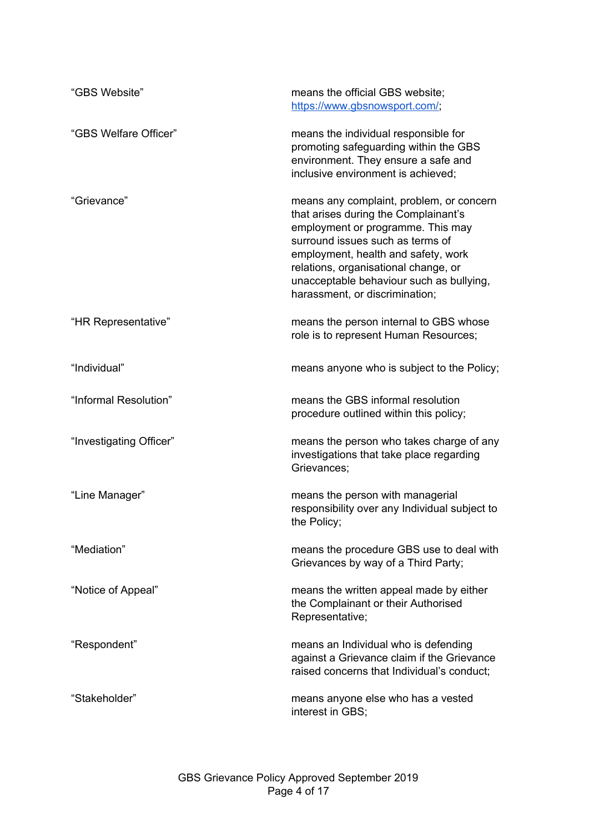| "GBS Website"           | means the official GBS website;<br>https://www.gbsnowsport.com/;                                                                                                                                                                                                                                                       |
|-------------------------|------------------------------------------------------------------------------------------------------------------------------------------------------------------------------------------------------------------------------------------------------------------------------------------------------------------------|
| "GBS Welfare Officer"   | means the individual responsible for<br>promoting safeguarding within the GBS<br>environment. They ensure a safe and<br>inclusive environment is achieved;                                                                                                                                                             |
| "Grievance"             | means any complaint, problem, or concern<br>that arises during the Complainant's<br>employment or programme. This may<br>surround issues such as terms of<br>employment, health and safety, work<br>relations, organisational change, or<br>unacceptable behaviour such as bullying,<br>harassment, or discrimination; |
| "HR Representative"     | means the person internal to GBS whose<br>role is to represent Human Resources;                                                                                                                                                                                                                                        |
| "Individual"            | means anyone who is subject to the Policy;                                                                                                                                                                                                                                                                             |
| "Informal Resolution"   | means the GBS informal resolution<br>procedure outlined within this policy;                                                                                                                                                                                                                                            |
| "Investigating Officer" | means the person who takes charge of any<br>investigations that take place regarding<br>Grievances:                                                                                                                                                                                                                    |
| "Line Manager"          | means the person with managerial<br>responsibility over any Individual subject to<br>the Policy;                                                                                                                                                                                                                       |
| "Mediation"             | means the procedure GBS use to deal with<br>Grievances by way of a Third Party;                                                                                                                                                                                                                                        |
| "Notice of Appeal"      | means the written appeal made by either<br>the Complainant or their Authorised<br>Representative;                                                                                                                                                                                                                      |
| "Respondent"            | means an Individual who is defending<br>against a Grievance claim if the Grievance<br>raised concerns that Individual's conduct;                                                                                                                                                                                       |
| "Stakeholder"           | means anyone else who has a vested<br>interest in GBS;                                                                                                                                                                                                                                                                 |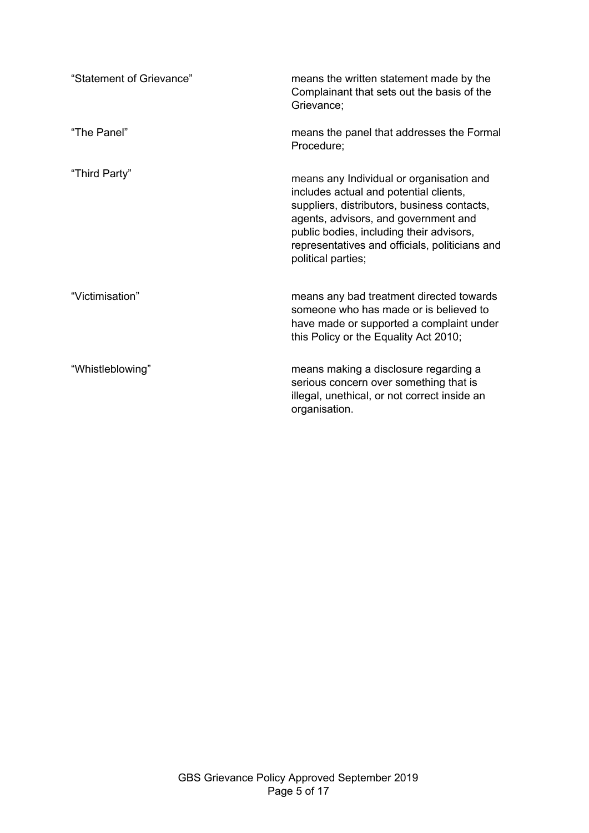| "Statement of Grievance" | means the written statement made by the<br>Complainant that sets out the basis of the<br>Grievance;                                                                                                                                                                                           |
|--------------------------|-----------------------------------------------------------------------------------------------------------------------------------------------------------------------------------------------------------------------------------------------------------------------------------------------|
| "The Panel"              | means the panel that addresses the Formal<br>Procedure;                                                                                                                                                                                                                                       |
| "Third Party"            | means any Individual or organisation and<br>includes actual and potential clients,<br>suppliers, distributors, business contacts,<br>agents, advisors, and government and<br>public bodies, including their advisors,<br>representatives and officials, politicians and<br>political parties; |
| "Victimisation"          | means any bad treatment directed towards<br>someone who has made or is believed to<br>have made or supported a complaint under<br>this Policy or the Equality Act 2010;                                                                                                                       |
| "Whistleblowing"         | means making a disclosure regarding a<br>serious concern over something that is<br>illegal, unethical, or not correct inside an<br>organisation.                                                                                                                                              |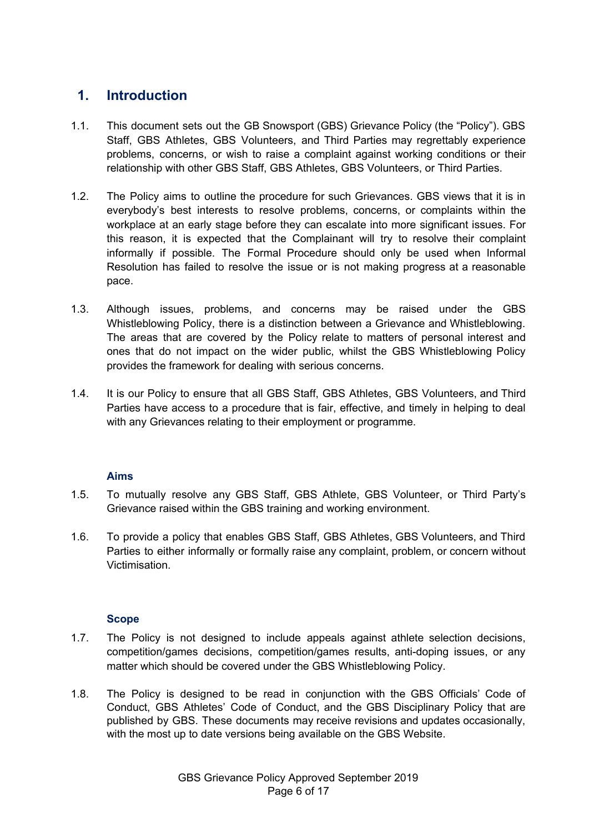### <span id="page-5-0"></span>**1. Introduction**

- 1.1. This document sets out the GB Snowsport (GBS) Grievance Policy (the "Policy"). GBS Staff, GBS Athletes, GBS Volunteers, and Third Parties may regrettably experience problems, concerns, or wish to raise a complaint against working conditions or their relationship with other GBS Staff, GBS Athletes, GBS Volunteers, or Third Parties.
- 1.2. The Policy aims to outline the procedure for such Grievances. GBS views that it is in everybody's best interests to resolve problems, concerns, or complaints within the workplace at an early stage before they can escalate into more significant issues. For this reason, it is expected that the Complainant will try to resolve their complaint informally if possible. The Formal Procedure should only be used when Informal Resolution has failed to resolve the issue or is not making progress at a reasonable pace.
- 1.3. Although issues, problems, and concerns may be raised under the GBS Whistleblowing Policy, there is a distinction between a Grievance and Whistleblowing. The areas that are covered by the Policy relate to matters of personal interest and ones that do not impact on the wider public, whilst the GBS Whistleblowing Policy provides the framework for dealing with serious concerns.
- 1.4. It is our Policy to ensure that all GBS Staff, GBS Athletes, GBS Volunteers, and Third Parties have access to a procedure that is fair, effective, and timely in helping to deal with any Grievances relating to their employment or programme.

#### **Aims**

- <span id="page-5-1"></span>1.5. To mutually resolve any GBS Staff, GBS Athlete, GBS Volunteer, or Third Party's Grievance raised within the GBS training and working environment.
- 1.6. To provide a policy that enables GBS Staff, GBS Athletes, GBS Volunteers, and Third Parties to either informally or formally raise any complaint, problem, or concern without Victimisation.

#### **Scope**

- <span id="page-5-2"></span>1.7. The Policy is not designed to include appeals against athlete selection decisions, competition/games decisions, competition/games results, anti-doping issues, or any matter which should be covered under the GBS Whistleblowing Policy.
- 1.8. The Policy is designed to be read in conjunction with the GBS Officials' Code of Conduct, GBS Athletes' Code of Conduct, and the GBS Disciplinary Policy that are published by GBS. These documents may receive revisions and updates occasionally, with the most up to date versions being available on the GBS Website.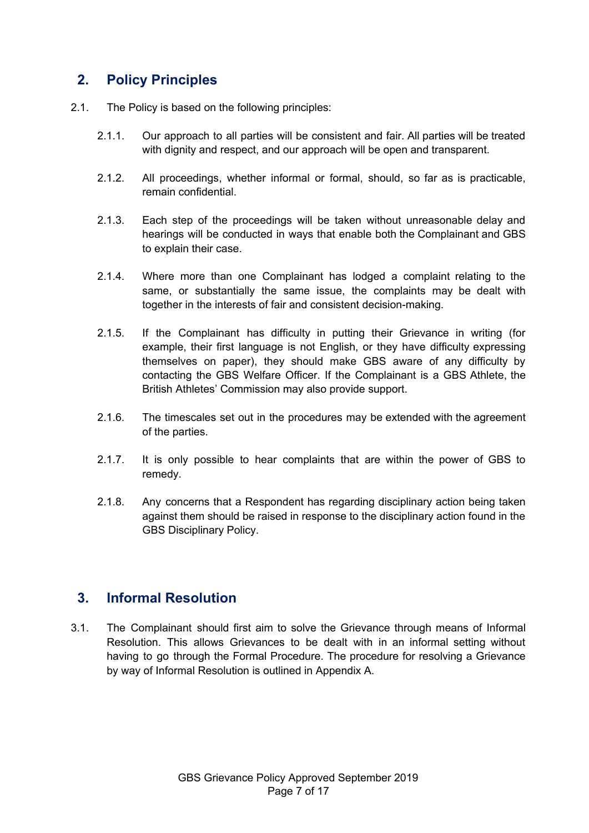### <span id="page-6-0"></span>**2. Policy Principles**

- 2.1. The Policy is based on the following principles:
	- 2.1.1. Our approach to all parties will be consistent and fair. All parties will be treated with dignity and respect, and our approach will be open and transparent.
	- 2.1.2. All proceedings, whether informal or formal, should, so far as is practicable, remain confidential.
	- 2.1.3. Each step of the proceedings will be taken without unreasonable delay and hearings will be conducted in ways that enable both the Complainant and GBS to explain their case.
	- 2.1.4. Where more than one Complainant has lodged a complaint relating to the same, or substantially the same issue, the complaints may be dealt with together in the interests of fair and consistent decision-making.
	- 2.1.5. If the Complainant has difficulty in putting their Grievance in writing (for example, their first language is not English, or they have difficulty expressing themselves on paper), they should make GBS aware of any difficulty by contacting the GBS Welfare Officer. If the Complainant is a GBS Athlete, the British Athletes' Commission may also provide support.
	- 2.1.6. The timescales set out in the procedures may be extended with the agreement of the parties.
	- 2.1.7. It is only possible to hear complaints that are within the power of GBS to remedy.
	- 2.1.8. Any concerns that a Respondent has regarding disciplinary action being taken against them should be raised in response to the disciplinary action found in the GBS Disciplinary Policy.

### <span id="page-6-1"></span>**3. Informal Resolution**

3.1. The Complainant should first aim to solve the Grievance through means of Informal Resolution. This allows Grievances to be dealt with in an informal setting without having to go through the Formal Procedure. The procedure for resolving a Grievance by way of Informal Resolution is outlined in Appendix A.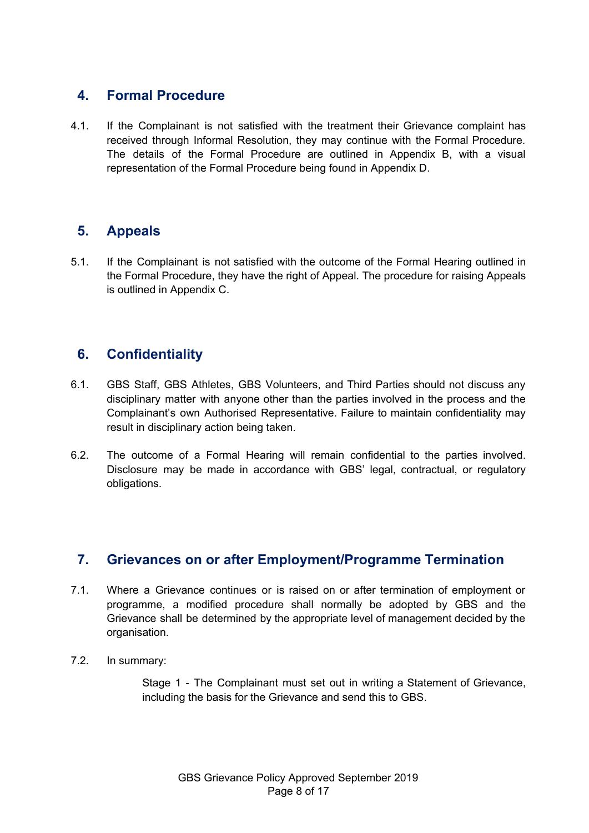### <span id="page-7-0"></span>**4. Formal Procedure**

4.1. If the Complainant is not satisfied with the treatment their Grievance complaint has received through Informal Resolution, they may continue with the Formal Procedure. The details of the Formal Procedure are outlined in Appendix B, with a visual representation of the Formal Procedure being found in Appendix D.

### <span id="page-7-1"></span>**5. Appeals**

5.1. If the Complainant is not satisfied with the outcome of the Formal Hearing outlined in the Formal Procedure, they have the right of Appeal. The procedure for raising Appeals is outlined in Appendix C.

### <span id="page-7-2"></span>**6. Confidentiality**

- 6.1. GBS Staff, GBS Athletes, GBS Volunteers, and Third Parties should not discuss any disciplinary matter with anyone other than the parties involved in the process and the Complainant's own Authorised Representative. Failure to maintain confidentiality may result in disciplinary action being taken.
- 6.2. The outcome of a Formal Hearing will remain confidential to the parties involved. Disclosure may be made in accordance with GBS' legal, contractual, or regulatory obligations.

### <span id="page-7-3"></span>**7. Grievances on or after Employment/Programme Termination**

- 7.1. Where a Grievance continues or is raised on or after termination of employment or programme, a modified procedure shall normally be adopted by GBS and the Grievance shall be determined by the appropriate level of management decided by the organisation.
- 7.2. In summary:

Stage 1 - The Complainant must set out in writing a Statement of Grievance, including the basis for the Grievance and send this to GBS.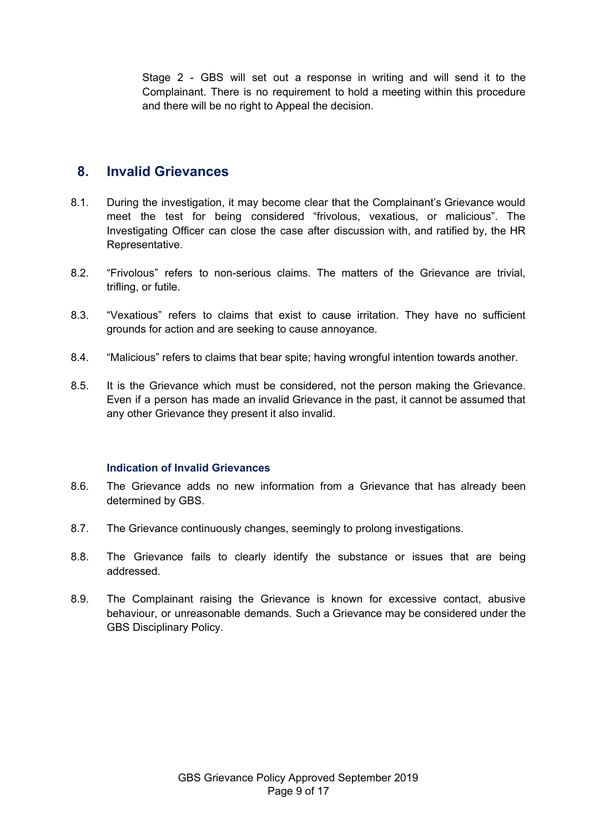Stage 2 - GBS will set out a response in writing and will send it to the Complainant. There is no requirement to hold a meeting within this procedure and there will be no right to Appeal the decision.

#### <span id="page-8-0"></span>**8. Invalid Grievances**

- 8.1. During the investigation, it may become clear that the Complainant's Grievance would meet the test for being considered "frivolous, vexatious, or malicious". The Investigating Officer can close the case after discussion with, and ratified by, the HR Representative.
- 8.2. "Frivolous" refers to non-serious claims. The matters of the Grievance are trivial, trifling, or futile.
- 8.3. "Vexatious" refers to claims that exist to cause irritation. They have no sufficient grounds for action and are seeking to cause annoyance.
- 8.4. "Malicious" refers to claims that bear spite; having wrongful intention towards another.
- 8.5. It is the Grievance which must be considered, not the person making the Grievance. Even if a person has made an invalid Grievance in the past, it cannot be assumed that any other Grievance they present it also invalid.

#### **Indication of Invalid Grievances**

- <span id="page-8-1"></span>8.6. The Grievance adds no new information from a Grievance that has already been determined by GBS.
- 8.7. The Grievance continuously changes, seemingly to prolong investigations.
- 8.8. The Grievance fails to clearly identify the substance or issues that are being addressed.
- 8.9. The Complainant raising the Grievance is known for excessive contact, abusive behaviour, or unreasonable demands. Such a Grievance may be considered under the GBS Disciplinary Policy.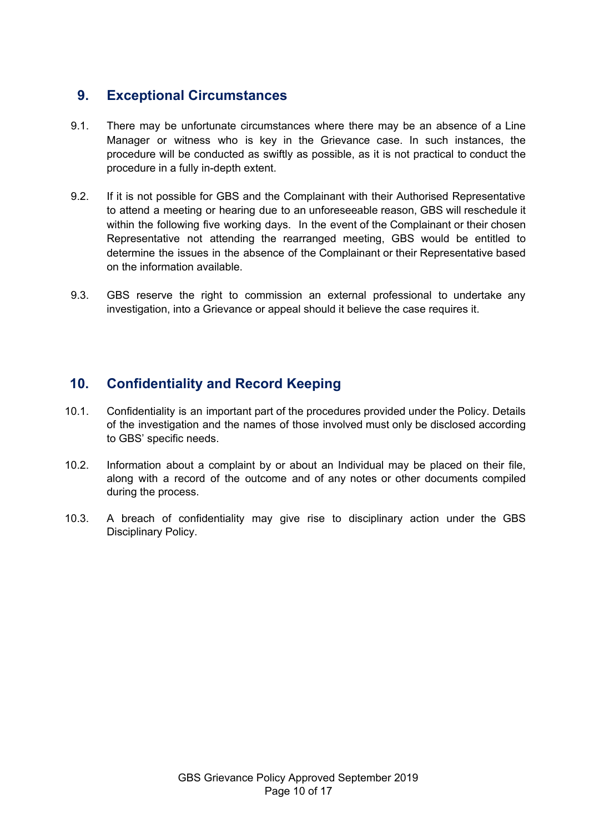### <span id="page-9-0"></span>**9. Exceptional Circumstances**

- 9.1. There may be unfortunate circumstances where there may be an absence of a Line Manager or witness who is key in the Grievance case. In such instances, the procedure will be conducted as swiftly as possible, as it is not practical to conduct the procedure in a fully in-depth extent.
- 9.2. If it is not possible for GBS and the Complainant with their Authorised Representative to attend a meeting or hearing due to an unforeseeable reason, GBS will reschedule it within the following five working days. In the event of the Complainant or their chosen Representative not attending the rearranged meeting, GBS would be entitled to determine the issues in the absence of the Complainant or their Representative based on the information available.
- 9.3. GBS reserve the right to commission an external professional to undertake any investigation, into a Grievance or appeal should it believe the case requires it.

### <span id="page-9-1"></span>**10. Confidentiality and Record Keeping**

- 10.1. Confidentiality is an important part of the procedures provided under the Policy. Details of the investigation and the names of those involved must only be disclosed according to GBS' specific needs.
- 10.2. Information about a complaint by or about an Individual may be placed on their file, along with a record of the outcome and of any notes or other documents compiled during the process.
- 10.3. A breach of confidentiality may give rise to disciplinary action under the GBS Disciplinary Policy.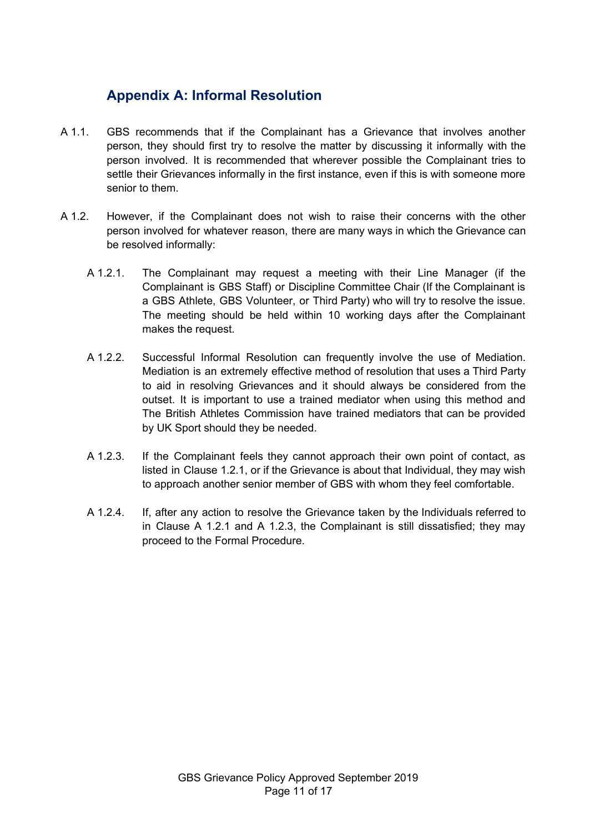## <span id="page-10-0"></span>**Appendix A: Informal Resolution**

- A 1.1. GBS recommends that if the Complainant has a Grievance that involves another person, they should first try to resolve the matter by discussing it informally with the person involved. It is recommended that wherever possible the Complainant tries to settle their Grievances informally in the first instance, even if this is with someone more senior to them.
- A 1.2. However, if the Complainant does not wish to raise their concerns with the other person involved for whatever reason, there are many ways in which the Grievance can be resolved informally:
	- A 1.2.1. The Complainant may request a meeting with their Line Manager (if the Complainant is GBS Staff) or Discipline Committee Chair (If the Complainant is a GBS Athlete, GBS Volunteer, or Third Party) who will try to resolve the issue. The meeting should be held within 10 working days after the Complainant makes the request.
	- A 1.2.2. Successful Informal Resolution can frequently involve the use of Mediation. Mediation is an extremely effective method of resolution that uses a Third Party to aid in resolving Grievances and it should always be considered from the outset. It is important to use a trained mediator when using this method and The British Athletes Commission have trained mediators that can be provided by UK Sport should they be needed.
	- A 1.2.3. If the Complainant feels they cannot approach their own point of contact, as listed in Clause 1.2.1, or if the Grievance is about that Individual, they may wish to approach another senior member of GBS with whom they feel comfortable.
	- A 1.2.4. If, after any action to resolve the Grievance taken by the Individuals referred to in Clause A 1.2.1 and A 1.2.3, the Complainant is still dissatisfied; they may proceed to the Formal Procedure.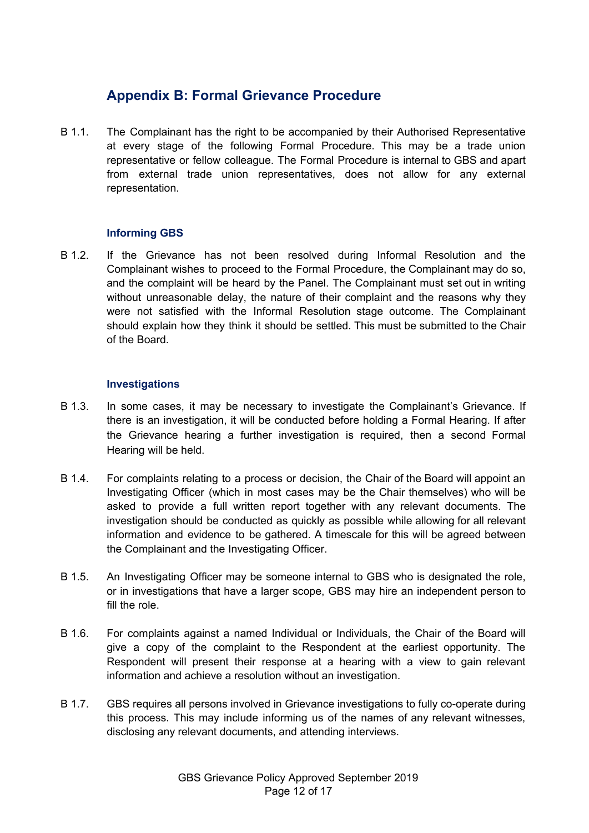### <span id="page-11-0"></span>**Appendix B: Formal Grievance Procedure**

B 1.1. The Complainant has the right to be accompanied by their Authorised Representative at every stage of the following Formal Procedure. This may be a trade union representative or fellow colleague. The Formal Procedure is internal to GBS and apart from external trade union representatives, does not allow for any external representation.

#### **Informing GBS**

B 1.2. If the Grievance has not been resolved during Informal Resolution and the Complainant wishes to proceed to the Formal Procedure, the Complainant may do so, and the complaint will be heard by the Panel. The Complainant must set out in writing without unreasonable delay, the nature of their complaint and the reasons why they were not satisfied with the Informal Resolution stage outcome. The Complainant should explain how they think it should be settled. This must be submitted to the Chair of the Board.

#### **Investigations**

- B 1.3. In some cases, it may be necessary to investigate the Complainant's Grievance. If there is an investigation, it will be conducted before holding a Formal Hearing. If after the Grievance hearing a further investigation is required, then a second Formal Hearing will be held.
- B 1.4. For complaints relating to a process or decision, the Chair of the Board will appoint an Investigating Officer (which in most cases may be the Chair themselves) who will be asked to provide a full written report together with any relevant documents. The investigation should be conducted as quickly as possible while allowing for all relevant information and evidence to be gathered. A timescale for this will be agreed between the Complainant and the Investigating Officer.
- B 1.5. An Investigating Officer may be someone internal to GBS who is designated the role, or in investigations that have a larger scope, GBS may hire an independent person to fill the role.
- B 1.6. For complaints against a named Individual or Individuals, the Chair of the Board will give a copy of the complaint to the Respondent at the earliest opportunity. The Respondent will present their response at a hearing with a view to gain relevant information and achieve a resolution without an investigation.
- B 1.7. GBS requires all persons involved in Grievance investigations to fully co-operate during this process. This may include informing us of the names of any relevant witnesses, disclosing any relevant documents, and attending interviews.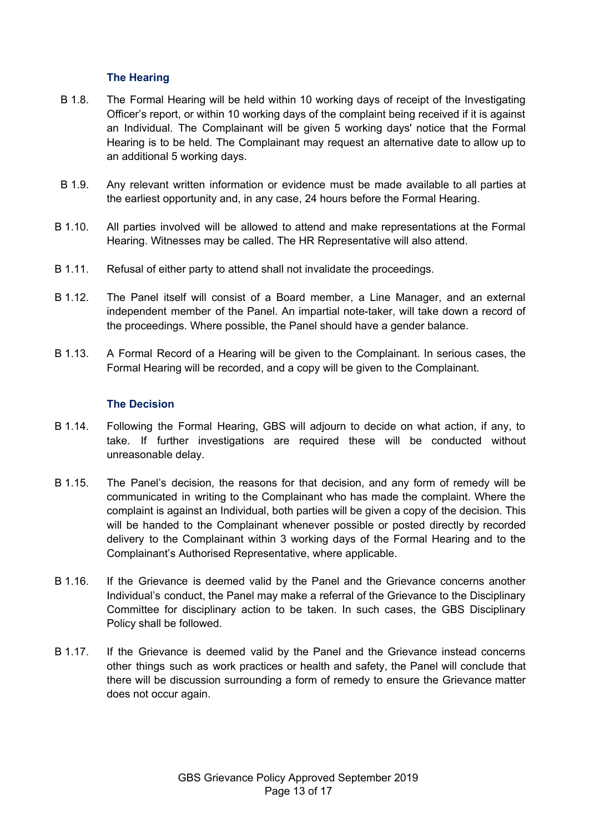#### **The Hearing**

- B 1.8. The Formal Hearing will be held within 10 working days of receipt of the Investigating Officer's report, or within 10 working days of the complaint being received if it is against an Individual. The Complainant will be given 5 working days' notice that the Formal Hearing is to be held. The Complainant may request an alternative date to allow up to an additional 5 working days.
- B 1.9. Any relevant written information or evidence must be made available to all parties at the earliest opportunity and, in any case, 24 hours before the Formal Hearing.
- B 1.10. All parties involved will be allowed to attend and make representations at the Formal Hearing. Witnesses may be called. The HR Representative will also attend.
- B 1.11. Refusal of either party to attend shall not invalidate the proceedings.
- B 1.12. The Panel itself will consist of a Board member, a Line Manager, and an external independent member of the Panel. An impartial note-taker, will take down a record of the proceedings. Where possible, the Panel should have a gender balance.
- B 1.13. A Formal Record of a Hearing will be given to the Complainant. In serious cases, the Formal Hearing will be recorded, and a copy will be given to the Complainant.

#### **The Decision**

- B 1.14. Following the Formal Hearing, GBS will adjourn to decide on what action, if any, to take. If further investigations are required these will be conducted without unreasonable delay.
- B 1.15. The Panel's decision, the reasons for that decision, and any form of remedy will be communicated in writing to the Complainant who has made the complaint. Where the complaint is against an Individual, both parties will be given a copy of the decision. This will be handed to the Complainant whenever possible or posted directly by recorded delivery to the Complainant within 3 working days of the Formal Hearing and to the Complainant's Authorised Representative, where applicable.
- B 1.16. If the Grievance is deemed valid by the Panel and the Grievance concerns another Individual's conduct, the Panel may make a referral of the Grievance to the Disciplinary Committee for disciplinary action to be taken. In such cases, the GBS Disciplinary Policy shall be followed.
- B 1.17. If the Grievance is deemed valid by the Panel and the Grievance instead concerns other things such as work practices or health and safety, the Panel will conclude that there will be discussion surrounding a form of remedy to ensure the Grievance matter does not occur again.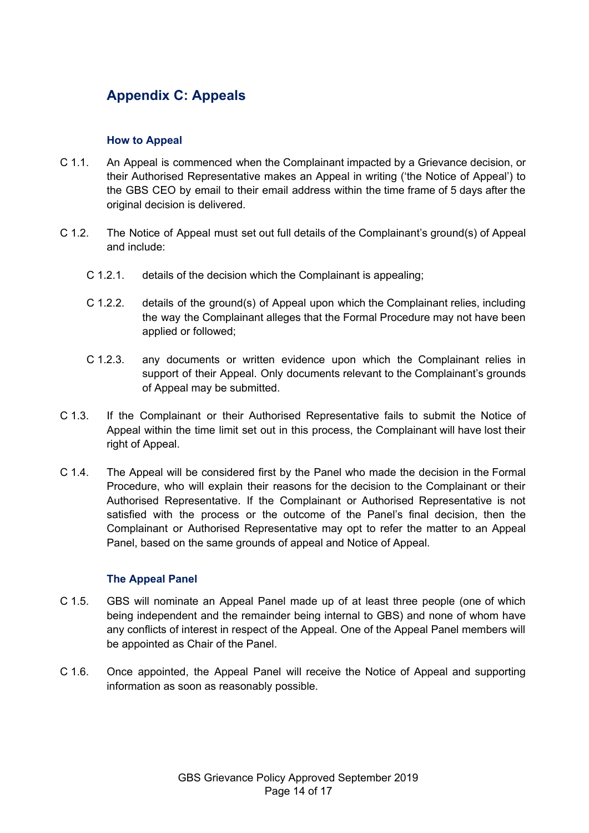# <span id="page-13-0"></span>**Appendix C: Appeals**

#### **How to Appeal**

- C 1.1. An Appeal is commenced when the Complainant impacted by a Grievance decision, or their Authorised Representative makes an Appeal in writing ('the Notice of Appeal') to the GBS CEO by email to their email address within the time frame of 5 days after the original decision is delivered.
- C 1.2. The Notice of Appeal must set out full details of the Complainant's ground(s) of Appeal and include:
	- C 1.2.1. details of the decision which the Complainant is appealing;
	- C 1.2.2. details of the ground(s) of Appeal upon which the Complainant relies, including the way the Complainant alleges that the Formal Procedure may not have been applied or followed;
	- C 1.2.3. any documents or written evidence upon which the Complainant relies in support of their Appeal. Only documents relevant to the Complainant's grounds of Appeal may be submitted.
- C 1.3. If the Complainant or their Authorised Representative fails to submit the Notice of Appeal within the time limit set out in this process, the Complainant will have lost their right of Appeal.
- C 1.4. The Appeal will be considered first by the Panel who made the decision in the Formal Procedure, who will explain their reasons for the decision to the Complainant or their Authorised Representative. If the Complainant or Authorised Representative is not satisfied with the process or the outcome of the Panel's final decision, then the Complainant or Authorised Representative may opt to refer the matter to an Appeal Panel, based on the same grounds of appeal and Notice of Appeal.

#### **The Appeal Panel**

- C 1.5. GBS will nominate an Appeal Panel made up of at least three people (one of which being independent and the remainder being internal to GBS) and none of whom have any conflicts of interest in respect of the Appeal. One of the Appeal Panel members will be appointed as Chair of the Panel.
- C 1.6. Once appointed, the Appeal Panel will receive the Notice of Appeal and supporting information as soon as reasonably possible.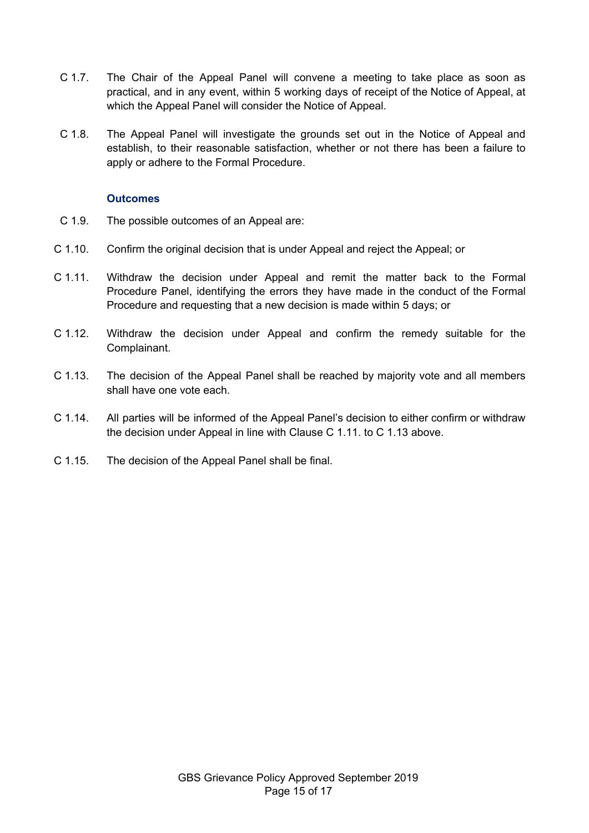- C 1.7. The Chair of the Appeal Panel will convene a meeting to take place as soon as practical, and in any event, within 5 working days of receipt of the Notice of Appeal, at which the Appeal Panel will consider the Notice of Appeal.
- C 1.8. The Appeal Panel will investigate the grounds set out in the Notice of Appeal and establish, to their reasonable satisfaction, whether or not there has been a failure to apply or adhere to the Formal Procedure.

#### **Outcomes**

- C 1.9. The possible outcomes of an Appeal are:
- C 1.10. Confirm the original decision that is under Appeal and reject the Appeal; or
- C 1.11. Withdraw the decision under Appeal and remit the matter back to the Formal Procedure Panel, identifying the errors they have made in the conduct of the Formal Procedure and requesting that a new decision is made within 5 days; or
- C 1.12. Withdraw the decision under Appeal and confirm the remedy suitable for the Complainant.
- C 1.13. The decision of the Appeal Panel shall be reached by majority vote and all members shall have one vote each.
- C 1.14. All parties will be informed of the Appeal Panel's decision to either confirm or withdraw the decision under Appeal in line with Clause C 1.11. to C 1.13 above.
- C 1.15. The decision of the Appeal Panel shall be final.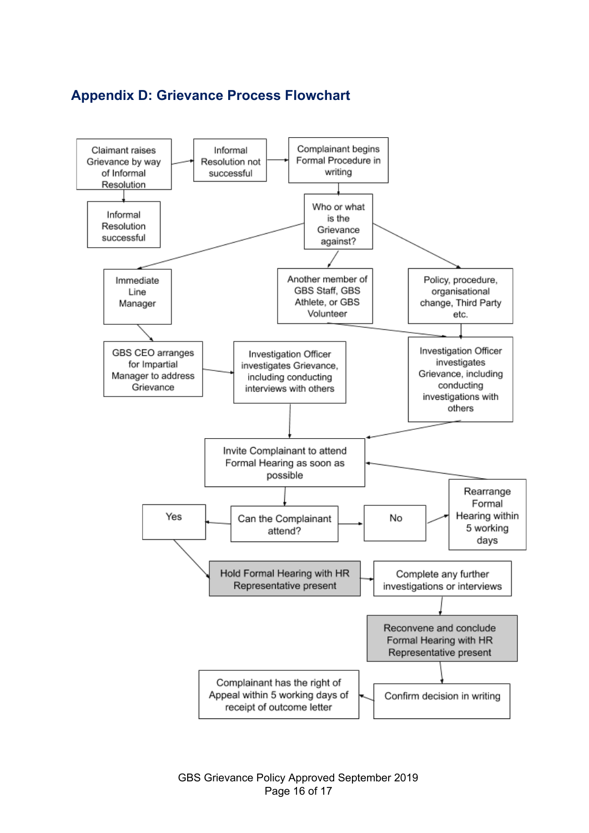### <span id="page-15-0"></span>**Appendix D: Grievance Process Flowchart**